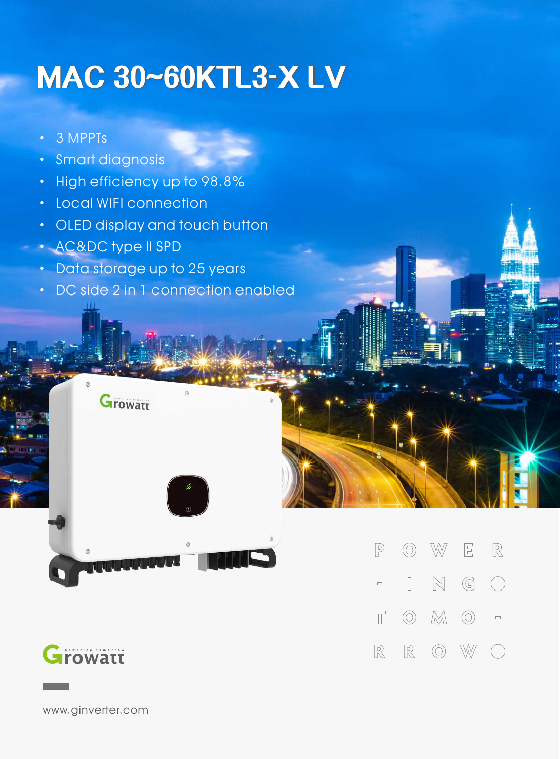## **MAC 30~60KTL3-X LV**

- · 3 MPPTs
- · Smart diagnosis
- · High efficiency up to 98.8%
- · Local WIFI connection

**Growatt** 

- · OLED display and touch button
- · AC&DC type II SPD
- · Data storage up to 25 years
- · DC side 2 in 1 connection enabled



www.ginverter.com

 $\mathbb{W}$  $E$  $\mathbb{R}$  $\circledcirc$  $\sqrt{P}$  $\mathbb{N}$  $\begin{array}{ccc} \hline \end{array}$  $\mathbb{G}$  $\bigcap$  $\Box$  $\circledcirc$   $\mathbb{M}$   $\circlearrowright$  =  $\top$  $\mathbb{R}$  $\circledcirc$ W  $\mathbb{R}$